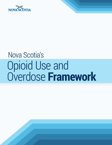

# Nova Scotia's Opioid Use and Overdose **Framework**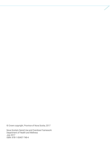© Crown copyright, Province of Nova Scotia, 2017

Nova Scotia's Opioid Use and Overdose Framework Department of Health and Wellness July 2017 ISBN: 978-1-55457-748-4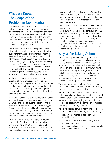## What We Know: The Scope of the Problem in Nova Scotia

Canada is the middle of a public health crisis of opioid use and overdose. Across the country, governments at all levels and organizations from various sectors are taking action. There has been much media coverage about illicit fentanyl and overdose deaths; however, this is only part of the issue. There are actually two distinct but related aspects to the opioid crisis.

The immediate issue is the illicit production and distribution of synthetic opioids. Synthetic opioids, such as fentanyl, are highly potent and relatively easy and inexpensive to produce. Fentanyl and other opioids are often cut into other pills or powdered street drugs in varying – sometimes deadly – amounts. Canada has seen an increase in opioid overdoses and overdose deaths associated with the arrival of illicit fentanyl in street drug supplies. Criminal organizations have become the main source of illicitly produced fentanyl in Canada.

At the same time, there is a longer standing problem of the over-prescription of opioids for pain treatment. The prescription of opioids within the Canadian health care system over the past 20 years has created large numbers of people for whom the legitimate use of these drugs has become problematic.

Nova Scotia doesn't have the number of overdoses and overdose deaths being experienced in British Columbia and Alberta, but the problem is moving east and we need to respond to prevent a bigger crisis. From 2011 to 2015, Nova Scotia averaged 60 overdose deaths per year from opioids alone, or in combination with alcohol, benzodiazepines and other prescription and/or street drugs.

In 2016, there were 53 acute opioid overdose deaths with four involving illicit fentanyl and three involving U-47700, another powerful synthetic opioid—sometimes in combination. In addition, illicit fentanyl was identified on multiple occasions in 2016 by police in Nova Scotia. The increased availability of illicit fentanyl will not only lead to more avoidable deaths, but also has an impact on emergency first responders and health care services.

This is a complex issue and we must be thoughtful in our approach, taking care to understand the impact of our actions in a broader context. Significant consideration has been given to how we reduce the harm associated with opioid use, address illicit fentanyl in street drug supplies, and change opioid prescribing and pain management practices in a way that minimizes the the serious complications of opioid use including opioid-induced pain, opioid addiction, and diversion.

## Why We're Taking Action

There are many different pathways to problematic opioid use and overdose, and people from all walks of life are involved. This includes street-involved opioid users who may have experienced adverse childhood experiences or trauma, young people experimenting with drugs, seniors who finds themselves dependent on painkillers prescribed after surgery, or an individual suffering with chronic pain from a workplace injury whose opioid use has progressed to addiction.

These are our young people, our family members, our neighbours and our most vulnerable, and they live beside us in our communities.

Part of our response to this serious public health problem is acknowledging that substance use and addiction are health and social issues, not criminal issues, and people struggling with addiction deserve to be treated with the same dignity, respect and compassion as any other person.

Opioid misuse is a complex health and social issue with a multitude of contributing factors, including:

- > social stigma related to addiction and mental health
- > our cultural norms related to taking pills and to pain management
- > aggressive and persuasive marketing of opioids by the pharmaceutical industry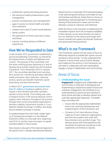- > problematic opioid prescribing practices
- > the training of health professionals in pain management
- > poverty, homelessness and unemployment
- > gaps in access to mental health and addictions treatment
- > isolation and a lack of social connectedness
- > family conflict
- > the experience of chronic pain due to injury and illness
- > trauma, including adverse childhood experiences

## How We've Responded to Date

In late October 2016, government established a provincial leadership committee, co-chaired by the Departments of Health and Wellness and Justice. The purpose of this committee, and the seven working groups reporting to it, was to develop Nova Scotia's Opioid Use and Overdose Framework. From November 2016 to January 2017, the committee identified short and long term actions for: monitoring and data collection, health promotion, harm reduction, naloxone access, opioid use disorder treatment, opioid prescribing, and law enforcement.

In March 2017, [government announced more](https://novascotia.ca/news/release/?id=20170310003)  [than \\$1 million in funding](https://novascotia.ca/news/release/?id=20170310003) to address the increase in illicit fentanyl and other synthetic opioids in Nova Scotia. This funding was used to expand access to life-saving naloxone, and to support harm reduction throughout the province through three community-based organizations: Northern Healthy Connections Society in Truro, Mainline Needle Exchange in Halifax, and Sharp Advice Needle Exchange in Sydney.

An epidemiologist from the Public Health Agency of Canada was brought in to the Medical Examiner's Office on a two-year term, beginning mid-2016, to monitor, track and report on opioid overdose deaths in Nova Scotia.

Nova Scotia is also part of the national response to the opioid crisis in Canada, attending the National

Opioid Summit in December 2016 and participating in the national Special Advisory Committee on Opioid Overdose and Misuse, where there is a focus on developing a national approach to monitoring, plus sharing of best practices in areas such as harm reduction, access to naloxone, and treatment.

While the focus so far has been on addressing the immediate impacts from the increased availability of illicit opioids, as we move forward, we need to turn our attention to the various and longer-term issues involved with opioid use disorder treatment and opioid prescribing practices.

## What's in our Framework

This framework outlines the key areas of focus to effectively respond to problematic opioid use and overdose in Nova Scotia. To fully understand the situation in Nova Scotia, and to further develop and implement the actions in this framework, we will need to collaborate with and meaningfully engage a range of stakeholders and communities.

## Areas of focus:

### 1. Understanding the Issue

**Engagement:** Engaging with stakeholders and communities is a key part of developing and implementing a response to opioid misuse and overdose. Engagement will contribute to our understanding of opioid use and overdose in Nova Scotia and help us develop relevant and culturally appropriate responses. The leadership committee will:

- > Ensure that the appropriate stakeholders inform the continued development and implementation of the framework; and
- > Convene a First Voice Advisory Group made up of harm reduction organizations and front line workers who work with Nova Scotians who use illicit drugs. This advisory group with lived experience will contribute its expertise and advice to the Leadership Committee on Opioids.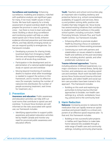**Surveillance and monitoring:** Enhancing surveillance, modelling and analytics, matched with qualitative analysis, are significant gaps for many, if not most, health issues in Nova Scotia. We have built capacity for a timely assessment of opioid overdose death to help prepare the province in case of a growing crisis – but there is more to learn and understand. Building a robust drug surveillance and monitoring system will help us understand opioid use in Nova Scotia, enhance evidence-informed prevention and intervention efforts, and help identify emerging trends so we can respond quickly to emergencies. Our framework includes:

- > Developing a process for sharing timely, local-level data from Emergency Health Services and hospital emergency departments on all acute drug overdoses
- > Participation in the development and implementation of a national epidemiological study on opioid use and overdose
- > Moving beyond monitoring of overdose deaths to explore what other knowledge is needed to support the actions in this framework, and to monitor its effectiveness (for example, tracking the number of naloxone kits distributed, the number of people accessing treatment, wait times for treatment, etc.)

#### 2. Prevention

**Awareness and education:** Public awareness and education activities can help shift cultural norms that contribute to opioid use and overdose. To ensure Nova Scotians are well informed on the risks associated with opioid use, our framework includes:

> Identifying opportunities to support public awareness and patient education activities led by Health Canada and monitor any need for provincial public awareness and education efforts

**Youth:** Teachers and school communities play an important role in building resiliency and protective factors (e.g. school connectedness, availability of supports and services, literacy and problem solving skills, positive role models) that help mitigate risk. Nova Scotia has several existing initiatives that contribute to student health and wellness in the public school system, including curriculum, Health Promoting Schools, Schools Plus, and Youth Health Centres. Our framework includes:

- > Enhancing efforts to promote student health by ensuring a focus on substance use prevention in these existing processes
- > Continuing our work with partners and stakeholders on issues related to student health and wellness at the post-secondary level, including alcohol, opioids, and other problematic substance use

**Trauma-informed approaches:** Trauma, including adverse childhood experiences, is a major contributor to mental illness, family dysfunction, and substance use, including opioid use and overdose. Much work has been done across Nova Scotia around trauma-informed approaches, and select health and social system care providers have been trained in this approach. This framework includes:

> Building on this work and exploring opportunities to bring trauma-informed approaches to broader, non-health care settings (e.g. schools, workplaces, housing, justice) and to the community level

#### 3. Harm Reduction

**Naloxone:** Increasing access to naloxone (the medication that can rapidly reverse an opioid overdose and prevent death) is a critical component of an effective opioid response plan. To that end, this framework includes:

> Building on two successful pilot projects in Halifax and Cape Breton to make takehome naloxone kits available through a wide range of health care and community settings, including community pharmacies.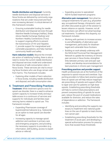**Needle distribution and disposal:** Currently, needle distribution and disposal services in Nova Scotia are delivered by community organizations that are under-resourced and have ever-increasing demand. A critical element of this framework includes:

> Ensuring sustainable funding for needle distribution and disposal services through Mainline Needle Exchange (Halifax), Sharp Advice Needle Exchange (Sydney) and Northern Healthy Connections (Truro) to support ongoing efforts to prevent the transmission of HIV and Hepatitis C, provide support for marginalized and vulnerable populations, and help maintain community health and safety

**Harm reduction models:** Beyond the immediate action of stabilizing funding, there is also a need to review the current needle distribution and disposal services model and understand the relevance of safe consumption sites in Nova Scotia. These services are vital to ensuring Nova Scotians who use drugs remain safe from harms. This framework includes:

> Exploring other models of harm reduction in Nova Scotia, including needle distribution and disposal, and safe consumption sites

#### 4. Treatment and Prescribing Practices

**Treatment:** While treatment options exist for opioid use disorder, there is a need to enhance system capacity to increase timely and equitable access to a continuum of services and supports for individuals and families experiencing harms related to opioid use. This framework includes:

- > Expanding Pharmacare coverage of buprenorphine/naloxone (e.g., Suboxone) as an option to treat opioid use disorder for all ages
- > Increasing capacity to manage opioid addiction and overdose in primary care and emergency programs, and providing the necessary supports to providers (e.g. information, skill-building, access to expert advice or referral)

> Expanding access to specialized NSHA-funded treatment programs

**Alternative pain management**: Non-pharmacological treatments for pain (e.g. physiotherapy, occupational therapy, chiropractic care) are often discussed as part of the solution to lessen reliance on opioids. However, not all Nova Scotians can afford non-pharmacological treatments. To address this disparity, our framework includes:

- > Working with partners to increase access to and affordability of alternative pain management, particularly for disadvantaged and vulnerable Nova Scotians
- > Building on work already underway with the NSHA-led Provincial Pain Management Network to update the inventory of chronic pain services in Nova Scotia, strengthen links between primary care and pain specialists, and develop recommendations for best practices in chronic pain management

#### **Prescribing practices and provider support:**

Health professionals are at the forefront of the response to opioid misuse and overdose. Supporting providers to follow best practice guidelines on opioid use will help reduce inappropriate prescribing of opioids and support efforts to taper and care for patients on high-dose opioids. Establishing prescribing thresholds will help to control initial prescriptions and prevent overprescribing of opioids for acute pain, reduce the pool of unused medications available for diversion, and reduce the rates of dependence or addiction. The framework includes:

- > Identifying and providing the supports necessary to implement new national guidelines on the use of opioids to treat chronic, non-cancer pain
- > Establishing prescribing thresholds for the treatment of acute pain, and developing a special authorization process for prescriptions that exceed those thresholds

NOVA SCOTIA'S OPIOID USE AND OVERDOSE FRAMEWORK 4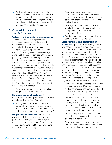> Working with stakeholders to build the necessary knowledge and practice supports in primary care to address the treatment of opioid use disorder and to implement new prescribing guidelines, including appropriate tapering for existing pain patients

### 5. Criminal Justice and Law Enforcement

**Wellness and drug treatment court programs:**

Sometimes referred to as specialty courts, these programs use therapeutic, restorative approaches to support marginalized people who are criminalized because of their addictions. Therapeutic court programs address the root causes of offending behavior, and encourage plans that link people to services with the goal of promoting recovery and reducing the likelihood to reoffend. These court programs offer alternative sentences for people charged with crimes related to their opioid use disorder, while carefully managing potential risks to the public. There are various programs already in place in Nova Scotia, including a Mental Health Court Program and Drug Treatment Court Program in Dartmouth and Kentville, Wellness Courts in Port Hawkesbury and Amherst, and a Wellness and Gladue Court in the First Nation community of Wagmatcook. Our action framework includes:

> Exploring opportunities to expand wellness programs in the justice system

**Drug seizure information sharing:** Our framework includes furthering our knowledge of illicit opioid availability in Nova Scotia by:

> Putting processes in place to allow information sharing on drugs seized by police to assist with provincial surveillance needs, including drug identification and "hot spots"

**Drug interdiction measures:** Reducing the availability of illegal opioids is an important part of our framework. Measures are already in place to prevent drugs such as fentanyl from entering correctional facilities, and this framework builds on this work by:

- > Ensuring ongoing maintenance and software upgrades to ION scanners, which are a non-invasive search tool for inmates, staff and visitors, as well as for incoming mail and parcels
- > Investigating options to equip facilities with body scanning devices, which are a best practice standard in drug interdiction efforts
- > Continuing to focus resources and investigative efforts on illicit opioids

**Occupational health and safety for first responders:** Opioids such as fentanyl create challenges for law enforcement due to the occupational health and safety concerns and specialized training requirements needed to handle these substances. As in other jurisdictions in Canada, police in Nova Scotia have focused enforcement efforts on illicit opioids, and now have access to specialized Clandestine Laboratory Enforcement and Response Team resources through the provincial police to deal with illegal drug labs and hazardous properties. Some police agencies also use specialized forensic officers trained in handling hazardous materials. To support these ongoing efforts, our framework includes:

- > Ensuring continued access to naloxone for law enforcement and first responders, including paramedics and community-based volunteer firefighters, to protect themselves and help overdose victims
- > Continuing to work with partners and stakeholders to mitigate risk related to opioids, and providing information and training – as well as take-home naloxone  $kits - to$  offenders who use opioids when they reintegrate into the community
- > Providing ongoing training and occupational health and safety education to investigators and first responders
- > Ensuring that policies and personal protective equipment are consistent with best practice standards across the country